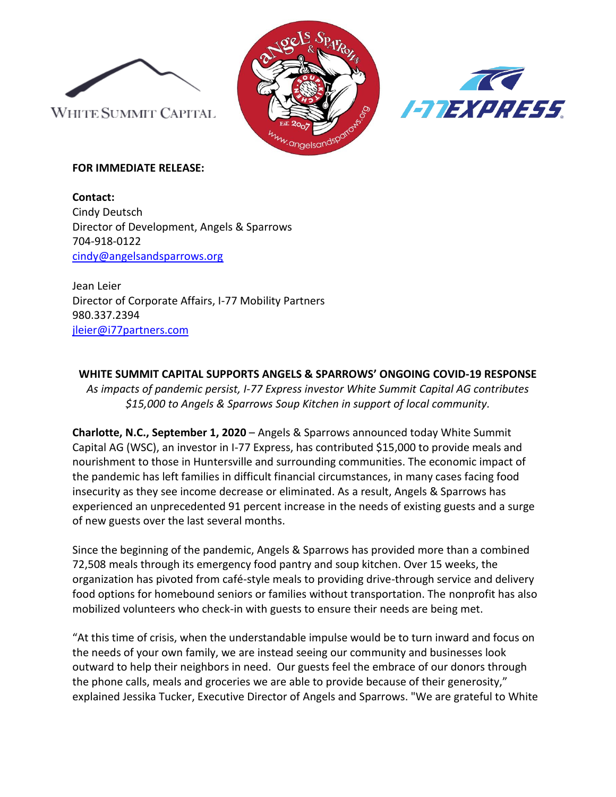





## **FOR IMMEDIATE RELEASE:**

**Contact:**  Cindy Deutsch Director of Development, Angels & Sparrows 704-918-0122 [cindy@angelsandsparrows.org](mailto:cindy@angelsandsparrows.org)

Jean Leier Director of Corporate Affairs, I-77 Mobility Partners 980.337.2394 [jleier@i77partners.com](mailto:jleier@i77partners.com)

# **WHITE SUMMIT CAPITAL SUPPORTS ANGELS & SPARROWS' ONGOING COVID-19 RESPONSE**

*As impacts of pandemic persist, I-77 Express investor White Summit Capital AG contributes \$15,000 to Angels & Sparrows Soup Kitchen in support of local community.*

**Charlotte, N.C., September 1, 2020** – Angels & Sparrows announced today White Summit Capital AG (WSC), an investor in I-77 Express, has contributed \$15,000 to provide meals and nourishment to those in Huntersville and surrounding communities. The economic impact of the pandemic has left families in difficult financial circumstances, in many cases facing food insecurity as they see income decrease or eliminated. As a result, Angels & Sparrows has experienced an unprecedented 91 percent increase in the needs of existing guests and a surge of new guests over the last several months.

Since the beginning of the pandemic, Angels & Sparrows has provided more than a combined 72,508 meals through its emergency food pantry and soup kitchen. Over 15 weeks, the organization has pivoted from café-style meals to providing drive-through service and delivery food options for homebound seniors or families without transportation. The nonprofit has also mobilized volunteers who check-in with guests to ensure their needs are being met.

"At this time of crisis, when the understandable impulse would be to turn inward and focus on the needs of your own family, we are instead seeing our community and businesses look outward to help their neighbors in need. Our guests feel the embrace of our donors through the phone calls, meals and groceries we are able to provide because of their generosity," explained Jessika Tucker, Executive Director of Angels and Sparrows. "We are grateful to White